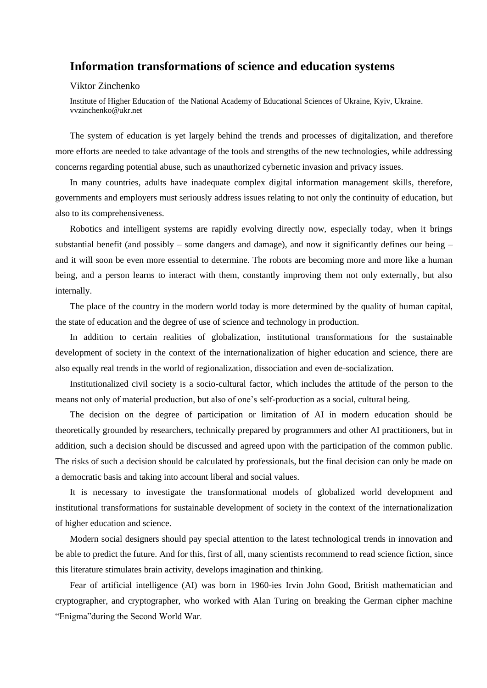## **Information transformations of science and education systems**

## Viktor Zinchenko

Institute of Higher Education of the National Academy of Educational Sciences of Ukraine, Kyiv, Ukraine. vvzinchenko@ukr.net

The system of education is yet largely behind the trends and processes of digitalization, and therefore more efforts are needed to take advantage of the tools and strengths of the new technologies, while addressing concerns regarding potential abuse, such as unauthorized cybernetic invasion and privacy issues.

In many countries, adults have inadequate complex digital information management skills, therefore, governments and employers must seriously address issues relating to not only the continuity of education, but also to its comprehensiveness.

Robotics and intelligent systems are rapidly evolving directly now, especially today, when it brings substantial benefit (and possibly – some dangers and damage), and now it significantly defines our being  $$ and it will soon be even more essential to determine. The robots are becoming more and more like a human being, and a person learns to interact with them, constantly improving them not only externally, but also internally.

The place of the country in the modern world today is more determined by the quality of human capital, the state of education and the degree of use of science and technology in production.

In addition to certain realities of globalization, institutional transformations for the sustainable development of society in the context of the internationalization of higher education and science, there are also equally real trends in the world of regionalization, dissociation and even de-socialization.

Institutionalized civil society is a socio-cultural factor, which includes the attitude of the person to the means not only of material production, but also of one's self-production as a social, cultural being.

The decision on the degree of participation or limitation of AI in modern education should be theoretically grounded by researchers, technically prepared by programmers and other AI practitioners, but in addition, such a decision should be discussed and agreed upon with the participation of the common public. The risks of such a decision should be calculated by professionals, but the final decision can only be made on a democratic basis and taking into account liberal and social values.

It is necessary to investigate the transformational models of globalized world development and institutional transformations for sustainable development of society in the context of the internationalization of higher education and science.

Modern social designers should pay special attention to the latest technological trends in innovation and be able to predict the future. And for this, first of all, many scientists recommend to read science fiction, since this literature stimulates brain activity, develops imagination and thinking.

Fear of artificial intelligence (AI) was born in 1960-ies Irvin John Good, British mathematician and cryptographer, and cryptographer, who worked with Alan Turing on breaking the German cipher machine "Enigma"during the Second World War.